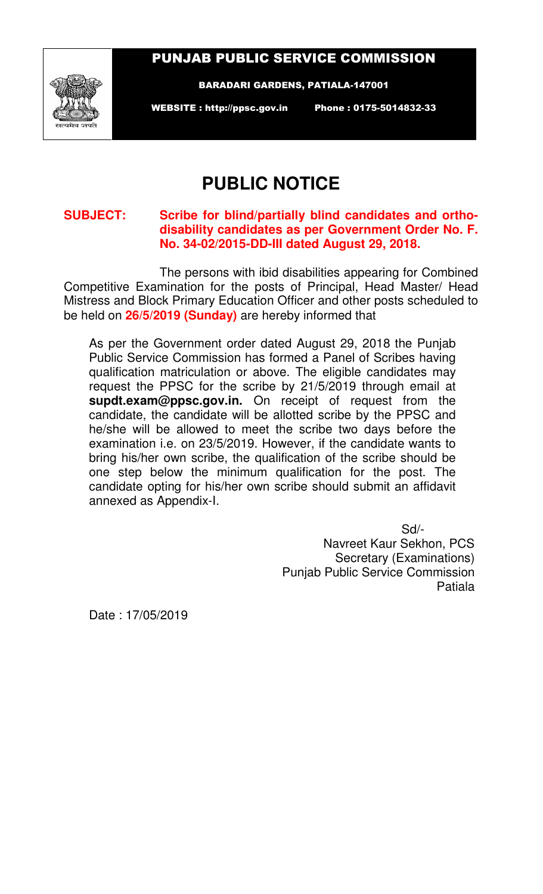## PUNJAB PUBLIC SERVICE COMMISSION



BARADARI GARDENS, PATIALA-147001

WEBSITE : http://ppsc.gov.in Phone : 0175-5014832-33

## **PUBLIC NOTICE**

## **SUBJECT: Scribe for blind/partially blind candidates and orthodisability candidates as per Government Order No. F. No. 34-02/2015-DD-III dated August 29, 2018.**

The persons with ibid disabilities appearing for Combined Competitive Examination for the posts of Principal, Head Master/ Head Mistress and Block Primary Education Officer and other posts scheduled to be held on **26/5/2019 (Sunday)** are hereby informed that

As per the Government order dated August 29, 2018 the Punjab Public Service Commission has formed a Panel of Scribes having qualification matriculation or above. The eligible candidates may request the PPSC for the scribe by 21/5/2019 through email at **supdt.exam@ppsc.gov.in.** On receipt of request from the candidate, the candidate will be allotted scribe by the PPSC and he/she will be allowed to meet the scribe two days before the examination i.e. on 23/5/2019. However, if the candidate wants to bring his/her own scribe, the qualification of the scribe should be one step below the minimum qualification for the post. The candidate opting for his/her own scribe should submit an affidavit annexed as Appendix-I.

> Sd/- Navreet Kaur Sekhon, PCS Secretary (Examinations) Punjab Public Service Commission Patiala

Date : 17/05/2019